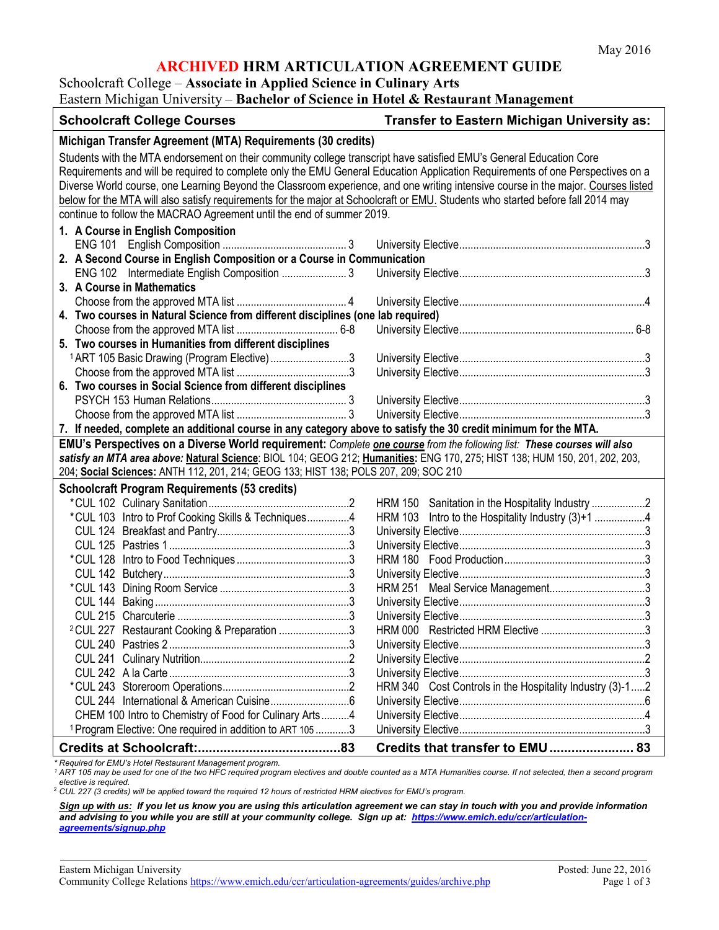## **ARCHIVED HRM ARTICULATION AGREEMENT GUIDE**

# Schoolcraft College – **Associate in Applied Science in Culinary Arts**

Eastern Michigan University – **Bachelor of Science in Hotel & Restaurant Management**

| <b>Schoolcraft College Courses</b>                                                                                                                                                                                                                                                                                                                                                                                                                                                                                                                                                                     | Transfer to Eastern Michigan University as:                 |
|--------------------------------------------------------------------------------------------------------------------------------------------------------------------------------------------------------------------------------------------------------------------------------------------------------------------------------------------------------------------------------------------------------------------------------------------------------------------------------------------------------------------------------------------------------------------------------------------------------|-------------------------------------------------------------|
| Michigan Transfer Agreement (MTA) Requirements (30 credits)                                                                                                                                                                                                                                                                                                                                                                                                                                                                                                                                            |                                                             |
| Students with the MTA endorsement on their community college transcript have satisfied EMU's General Education Core<br>Requirements and will be required to complete only the EMU General Education Application Requirements of one Perspectives on a<br>Diverse World course, one Learning Beyond the Classroom experience, and one writing intensive course in the major. Courses listed<br>below for the MTA will also satisfy requirements for the major at Schoolcraft or EMU. Students who started before fall 2014 may<br>continue to follow the MACRAO Agreement until the end of summer 2019. |                                                             |
| 1. A Course in English Composition                                                                                                                                                                                                                                                                                                                                                                                                                                                                                                                                                                     |                                                             |
|                                                                                                                                                                                                                                                                                                                                                                                                                                                                                                                                                                                                        |                                                             |
| 2. A Second Course in English Composition or a Course in Communication                                                                                                                                                                                                                                                                                                                                                                                                                                                                                                                                 |                                                             |
|                                                                                                                                                                                                                                                                                                                                                                                                                                                                                                                                                                                                        |                                                             |
| 3. A Course in Mathematics                                                                                                                                                                                                                                                                                                                                                                                                                                                                                                                                                                             |                                                             |
|                                                                                                                                                                                                                                                                                                                                                                                                                                                                                                                                                                                                        |                                                             |
| 4. Two courses in Natural Science from different disciplines (one lab required)                                                                                                                                                                                                                                                                                                                                                                                                                                                                                                                        |                                                             |
|                                                                                                                                                                                                                                                                                                                                                                                                                                                                                                                                                                                                        |                                                             |
| 5. Two courses in Humanities from different disciplines                                                                                                                                                                                                                                                                                                                                                                                                                                                                                                                                                |                                                             |
| <sup>1</sup> ART 105 Basic Drawing (Program Elective)3                                                                                                                                                                                                                                                                                                                                                                                                                                                                                                                                                 |                                                             |
| 6. Two courses in Social Science from different disciplines                                                                                                                                                                                                                                                                                                                                                                                                                                                                                                                                            |                                                             |
|                                                                                                                                                                                                                                                                                                                                                                                                                                                                                                                                                                                                        |                                                             |
|                                                                                                                                                                                                                                                                                                                                                                                                                                                                                                                                                                                                        |                                                             |
|                                                                                                                                                                                                                                                                                                                                                                                                                                                                                                                                                                                                        |                                                             |
| 7. If needed, complete an additional course in any category above to satisfy the 30 credit minimum for the MTA.                                                                                                                                                                                                                                                                                                                                                                                                                                                                                        |                                                             |
| EMU's Perspectives on a Diverse World requirement: Complete one course from the following list: These courses will also<br>satisfy an MTA area above: Natural Science: BIOL 104; GEOG 212; Humanities: ENG 170, 275; HIST 138; HUM 150, 201, 202, 203,<br>204; Social Sciences: ANTH 112, 201, 214; GEOG 133; HIST 138; POLS 207, 209; SOC 210                                                                                                                                                                                                                                                         |                                                             |
|                                                                                                                                                                                                                                                                                                                                                                                                                                                                                                                                                                                                        |                                                             |
| <b>Schoolcraft Program Requirements (53 credits)</b>                                                                                                                                                                                                                                                                                                                                                                                                                                                                                                                                                   |                                                             |
|                                                                                                                                                                                                                                                                                                                                                                                                                                                                                                                                                                                                        | <b>HRM 150</b>                                              |
| *CUL 103 Intro to Prof Cooking Skills & Techniques4                                                                                                                                                                                                                                                                                                                                                                                                                                                                                                                                                    | Intro to the Hospitality Industry (3)+1 4<br><b>HRM 103</b> |
|                                                                                                                                                                                                                                                                                                                                                                                                                                                                                                                                                                                                        |                                                             |
|                                                                                                                                                                                                                                                                                                                                                                                                                                                                                                                                                                                                        |                                                             |
|                                                                                                                                                                                                                                                                                                                                                                                                                                                                                                                                                                                                        |                                                             |
|                                                                                                                                                                                                                                                                                                                                                                                                                                                                                                                                                                                                        |                                                             |
|                                                                                                                                                                                                                                                                                                                                                                                                                                                                                                                                                                                                        |                                                             |
|                                                                                                                                                                                                                                                                                                                                                                                                                                                                                                                                                                                                        |                                                             |
|                                                                                                                                                                                                                                                                                                                                                                                                                                                                                                                                                                                                        |                                                             |
| <sup>2</sup> CUL 227 Restaurant Cooking & Preparation 3                                                                                                                                                                                                                                                                                                                                                                                                                                                                                                                                                |                                                             |
|                                                                                                                                                                                                                                                                                                                                                                                                                                                                                                                                                                                                        |                                                             |
|                                                                                                                                                                                                                                                                                                                                                                                                                                                                                                                                                                                                        |                                                             |
|                                                                                                                                                                                                                                                                                                                                                                                                                                                                                                                                                                                                        |                                                             |
|                                                                                                                                                                                                                                                                                                                                                                                                                                                                                                                                                                                                        | HRM 340 Cost Controls in the Hospitality Industry (3)-12    |
|                                                                                                                                                                                                                                                                                                                                                                                                                                                                                                                                                                                                        |                                                             |
| CHEM 100 Intro to Chemistry of Food for Culinary Arts4                                                                                                                                                                                                                                                                                                                                                                                                                                                                                                                                                 |                                                             |
| <sup>1</sup> Program Elective: One required in addition to ART 105 3                                                                                                                                                                                                                                                                                                                                                                                                                                                                                                                                   |                                                             |
|                                                                                                                                                                                                                                                                                                                                                                                                                                                                                                                                                                                                        | Credits that transfer to EMU 83                             |

*\* Required for EMU's Hotel Restaurant Management program.*

*<sup>1</sup> ART 105 may be used for one of the two HFC required program electives and double counted as a MTA Humanities course. If not selected, then a second program elective is required.*

<sup>2</sup> *CUL 227 (3 credits) will be applied toward the required 12 hours of restricted HRM electives for EMU's program.*

*Sign up with us: If you let us know you are using this articulation agreement we can stay in touch with you and provide information and advising to you while you are still at your community college. Sign up at: [https://www.emich.edu/ccr/articulation](https://www.emich.edu/ccr/articulation-agreements/signup.php)[agreements/signup.php](https://www.emich.edu/ccr/articulation-agreements/signup.php)*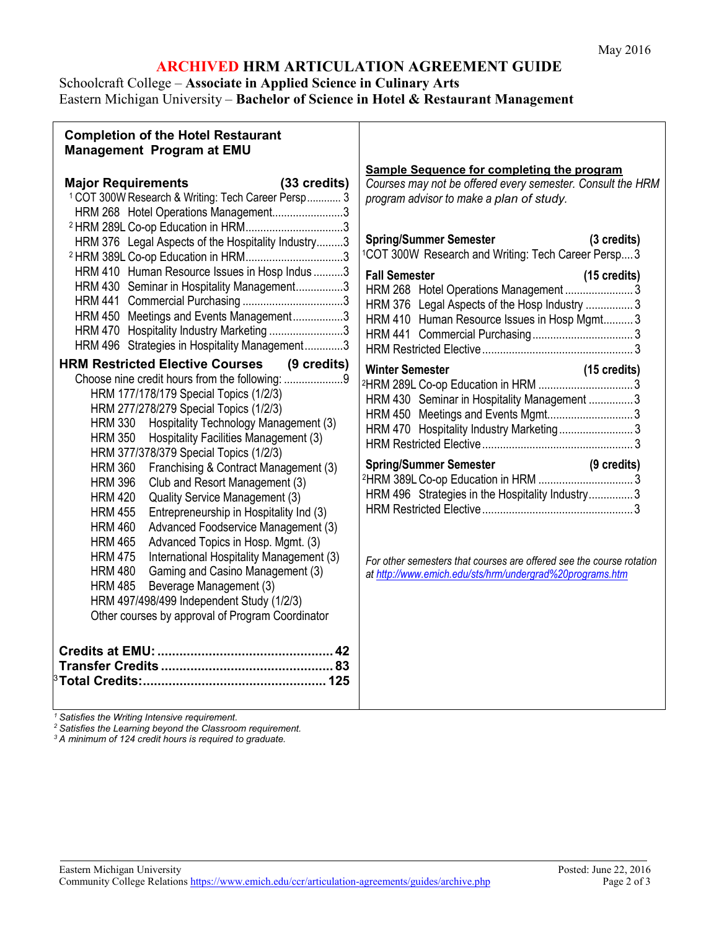# **ARCHIVED HRM ARTICULATION AGREEMENT GUIDE**

## Schoolcraft College – **Associate in Applied Science in Culinary Arts** Eastern Michigan University – **Bachelor of Science in Hotel & Restaurant Management**

| <b>Completion of the Hotel Restaurant</b><br><b>Management Program at EMU</b>                                                                                                                                                                                                                                                                                                                                                                                                                                                                                                                                                                                                                                                                                                                                                                                                                                                                                                                                                                                                                                                                                                                                                                                                                                                                                                                              |                                                                                                                                                                                                                                                                                                                                                                                                                                                                                                                                                                                                                                                                                                                                                                                  |
|------------------------------------------------------------------------------------------------------------------------------------------------------------------------------------------------------------------------------------------------------------------------------------------------------------------------------------------------------------------------------------------------------------------------------------------------------------------------------------------------------------------------------------------------------------------------------------------------------------------------------------------------------------------------------------------------------------------------------------------------------------------------------------------------------------------------------------------------------------------------------------------------------------------------------------------------------------------------------------------------------------------------------------------------------------------------------------------------------------------------------------------------------------------------------------------------------------------------------------------------------------------------------------------------------------------------------------------------------------------------------------------------------------|----------------------------------------------------------------------------------------------------------------------------------------------------------------------------------------------------------------------------------------------------------------------------------------------------------------------------------------------------------------------------------------------------------------------------------------------------------------------------------------------------------------------------------------------------------------------------------------------------------------------------------------------------------------------------------------------------------------------------------------------------------------------------------|
| <b>Major Requirements</b><br>(33 credits)<br><sup>1</sup> COT 300W Research & Writing: Tech Career Persp 3<br>HRM 268 Hotel Operations Management3<br>HRM 376 Legal Aspects of the Hospitality Industry3<br>HRM 410 Human Resource Issues in Hosp Indus 3<br>HRM 430 Seminar in Hospitality Management3<br>HRM 450 Meetings and Events Management3<br>HRM 470 Hospitality Industry Marketing 3<br>HRM 496 Strategies in Hospitality Management3<br><b>HRM Restricted Elective Courses (9 credits)</b><br>Choose nine credit hours from the following: 9<br>HRM 177/178/179 Special Topics (1/2/3)<br>HRM 277/278/279 Special Topics (1/2/3)<br>HRM 330 Hospitality Technology Management (3)<br>HRM 350 Hospitality Facilities Management (3)<br>HRM 377/378/379 Special Topics (1/2/3)<br>Franchising & Contract Management (3)<br><b>HRM 360</b><br><b>HRM 396</b><br>Club and Resort Management (3)<br>Quality Service Management (3)<br><b>HRM 420</b><br>Entrepreneurship in Hospitality Ind (3)<br><b>HRM 455</b><br>Advanced Foodservice Management (3)<br><b>HRM 460</b><br><b>HRM 465</b><br>Advanced Topics in Hosp. Mgmt. (3)<br>International Hospitality Management (3)<br><b>HRM 475</b><br>Gaming and Casino Management (3)<br><b>HRM 480</b><br>Beverage Management (3)<br><b>HRM 485</b><br>HRM 497/498/499 Independent Study (1/2/3)<br>Other courses by approval of Program Coordinator | Sample Sequence for completing the program<br>Courses may not be offered every semester. Consult the HRM<br>program advisor to make a plan of study.<br><b>Spring/Summer Semester</b><br>(3 credits)<br><sup>1</sup> COT 300W Research and Writing: Tech Career Persp 3<br><b>Fall Semester</b><br>(15 credits)<br>HRM 376 Legal Aspects of the Hosp Industry  3<br>HRM 410 Human Resource Issues in Hosp Mgmt 3<br><b>Winter Semester</b><br>(15 credits)<br>HRM 430 Seminar in Hospitality Management 3<br>HRM 450 Meetings and Events Mgmt3<br>HRM 470 Hospitality Industry Marketing3<br>HRM 496 Strategies in the Hospitality Industry3<br>For other semesters that courses are offered see the course rotation<br>at http://www.emich.edu/sts/hrm/undergrad%20programs.htm |

*<sup>1</sup> Satisfies the Writing Intensive requirement.*

*<sup>2</sup> Satisfies the Learning beyond the Classroom requirement.*

*<sup>3</sup> A minimum of 124 credit hours is required to graduate.*